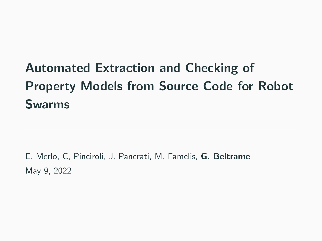# Automated Extraction and Checking of Property Models from Source Code for Robot Swarms

E. Merlo, C, Pinciroli, J. Panerati, M. Famelis, G. Beltrame May 9, 2022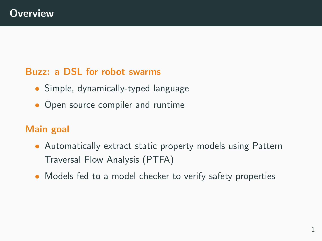#### Buzz: a DSL for robot swarms

- Simple, dynamically-typed language
- Open source compiler and runtime

#### Main goal

- Automatically extract static property models using Pattern Traversal Flow Analysis (PTFA)
- Models fed to a model checker to verify safety properties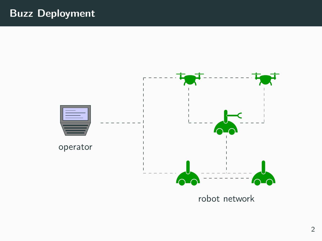## Buzz Deployment

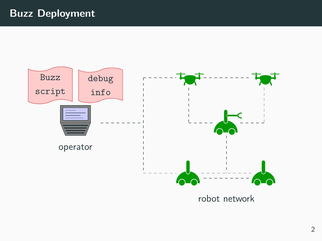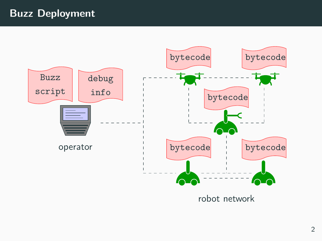# Buzz Deployment

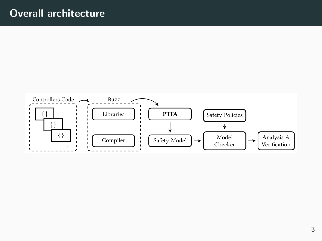### Overall architecture

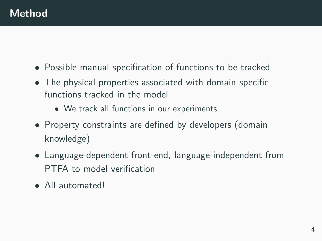- Possible manual specification of functions to be tracked
- The physical properties associated with domain specific functions tracked in the model
	- We track all functions in our experiments
- Property constraints are defined by developers (domain knowledge)
- Language-dependent front-end, language-independent from PTFA to model verification
- All automated!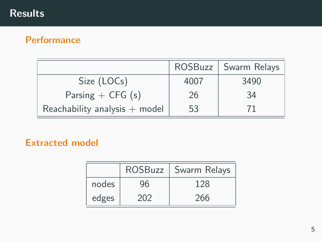## Results

#### **Performance**

|                                 | ROSBuzz | Swarm Relays |
|---------------------------------|---------|--------------|
| Size (LOCs)                     | 4007    | 3490         |
| Parsing $+$ CFG (s)             | 26      | 34           |
| Reachability analysis $+$ model | 53      |              |

#### Extracted model

|       | <b>ROSBuzz</b> | Swarm Relays |
|-------|----------------|--------------|
| nodes | 96             | 128          |
| edges | 202            | 266          |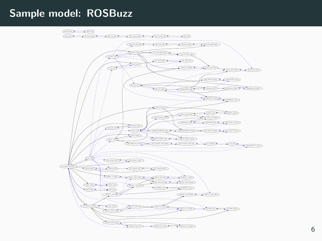# Sample model: ROSBuzz

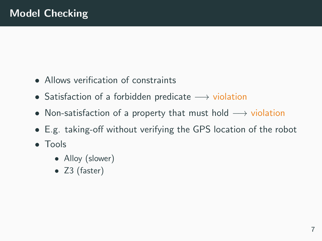- Allows verification of constraints
- Satisfaction of a forbidden predicate  $→$  violation
- Non-satisfaction of a property that must hold  $\rightarrow$  violation
- E.g. taking-off without verifying the GPS location of the robot
- Tools
	- Alloy (slower)
	- Z3 (faster)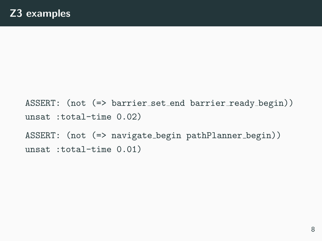ASSERT: (not (=> barrier set end barrier ready begin)) unsat :total-time 0.02) ASSERT: (not  $(=>$  navigate\_begin pathPlanner\_begin)) unsat :total-time 0.01)